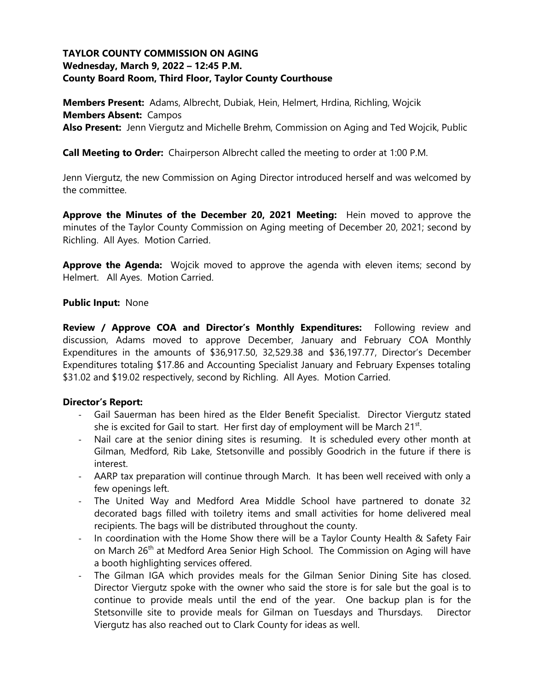### **TAYLOR COUNTY COMMISSION ON AGING Wednesday, March 9, 2022 – 12:45 P.M. County Board Room, Third Floor, Taylor County Courthouse**

**Members Present:** Adams, Albrecht, Dubiak, Hein, Helmert, Hrdina, Richling, Wojcik **Members Absent:** Campos **Also Present:** Jenn Viergutz and Michelle Brehm, Commission on Aging and Ted Wojcik, Public

**Call Meeting to Order:** Chairperson Albrecht called the meeting to order at 1:00 P.M.

Jenn Viergutz, the new Commission on Aging Director introduced herself and was welcomed by the committee.

**Approve the Minutes of the December 20, 2021 Meeting:** Hein moved to approve the minutes of the Taylor County Commission on Aging meeting of December 20, 2021; second by Richling. All Ayes. Motion Carried.

**Approve the Agenda:** Wojcik moved to approve the agenda with eleven items; second by Helmert. All Ayes. Motion Carried.

#### **Public Input:** None

**Review / Approve COA and Director's Monthly Expenditures:** Following review and discussion, Adams moved to approve December, January and February COA Monthly Expenditures in the amounts of \$36,917.50, 32,529.38 and \$36,197.77, Director's December Expenditures totaling \$17.86 and Accounting Specialist January and February Expenses totaling \$31.02 and \$19.02 respectively, second by Richling. All Ayes. Motion Carried.

#### **Director's Report:**

- Gail Sauerman has been hired as the Elder Benefit Specialist. Director Viergutz stated she is excited for Gail to start. Her first day of employment will be March 21<sup>st</sup>.
- Nail care at the senior dining sites is resuming. It is scheduled every other month at Gilman, Medford, Rib Lake, Stetsonville and possibly Goodrich in the future if there is interest.
- AARP tax preparation will continue through March. It has been well received with only a few openings left.
- The United Way and Medford Area Middle School have partnered to donate 32 decorated bags filled with toiletry items and small activities for home delivered meal recipients. The bags will be distributed throughout the county.
- In coordination with the Home Show there will be a Taylor County Health & Safety Fair on March 26<sup>th</sup> at Medford Area Senior High School. The Commission on Aging will have a booth highlighting services offered.
- The Gilman IGA which provides meals for the Gilman Senior Dining Site has closed. Director Viergutz spoke with the owner who said the store is for sale but the goal is to continue to provide meals until the end of the year. One backup plan is for the Stetsonville site to provide meals for Gilman on Tuesdays and Thursdays. Director Viergutz has also reached out to Clark County for ideas as well.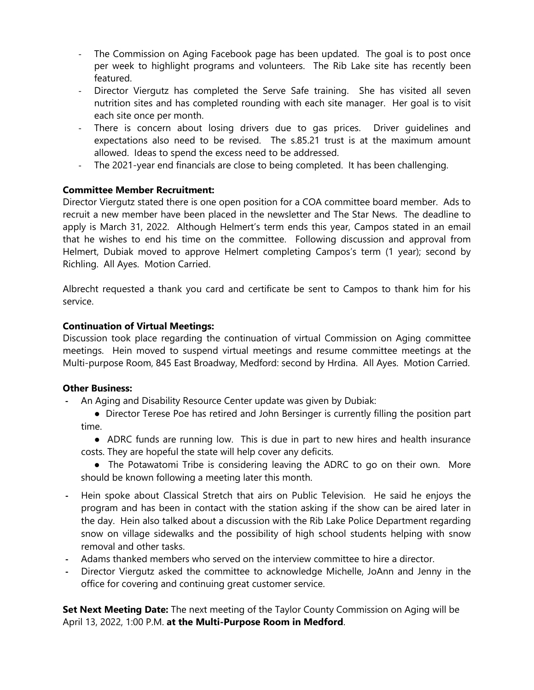- The Commission on Aging Facebook page has been updated. The goal is to post once per week to highlight programs and volunteers. The Rib Lake site has recently been featured.
- Director Viergutz has completed the Serve Safe training. She has visited all seven nutrition sites and has completed rounding with each site manager. Her goal is to visit each site once per month.
- There is concern about losing drivers due to gas prices. Driver guidelines and expectations also need to be revised. The s.85.21 trust is at the maximum amount allowed. Ideas to spend the excess need to be addressed.
- The 2021-year end financials are close to being completed. It has been challenging.

## **Committee Member Recruitment:**

Director Viergutz stated there is one open position for a COA committee board member. Ads to recruit a new member have been placed in the newsletter and The Star News. The deadline to apply is March 31, 2022. Although Helmert's term ends this year, Campos stated in an email that he wishes to end his time on the committee. Following discussion and approval from Helmert, Dubiak moved to approve Helmert completing Campos's term (1 year); second by Richling. All Ayes. Motion Carried.

Albrecht requested a thank you card and certificate be sent to Campos to thank him for his service.

# **Continuation of Virtual Meetings:**

Discussion took place regarding the continuation of virtual Commission on Aging committee meetings. Hein moved to suspend virtual meetings and resume committee meetings at the Multi-purpose Room, 845 East Broadway, Medford: second by Hrdina. All Ayes. Motion Carried.

## **Other Business:**

- **-** An Aging and Disability Resource Center update was given by Dubiak:
	- Director Terese Poe has retired and John Bersinger is currently filling the position part time.
	- ADRC funds are running low. This is due in part to new hires and health insurance costs. They are hopeful the state will help cover any deficits.
	- The Potawatomi Tribe is considering leaving the ADRC to go on their own. More should be known following a meeting later this month.
- **-** Hein spoke about Classical Stretch that airs on Public Television. He said he enjoys the program and has been in contact with the station asking if the show can be aired later in the day. Hein also talked about a discussion with the Rib Lake Police Department regarding snow on village sidewalks and the possibility of high school students helping with snow removal and other tasks.
- **-** Adams thanked members who served on the interview committee to hire a director.
- **-** Director Viergutz asked the committee to acknowledge Michelle, JoAnn and Jenny in the office for covering and continuing great customer service.

**Set Next Meeting Date:** The next meeting of the Taylor County Commission on Aging will be April 13, 2022, 1:00 P.M. **at the Multi-Purpose Room in Medford**.